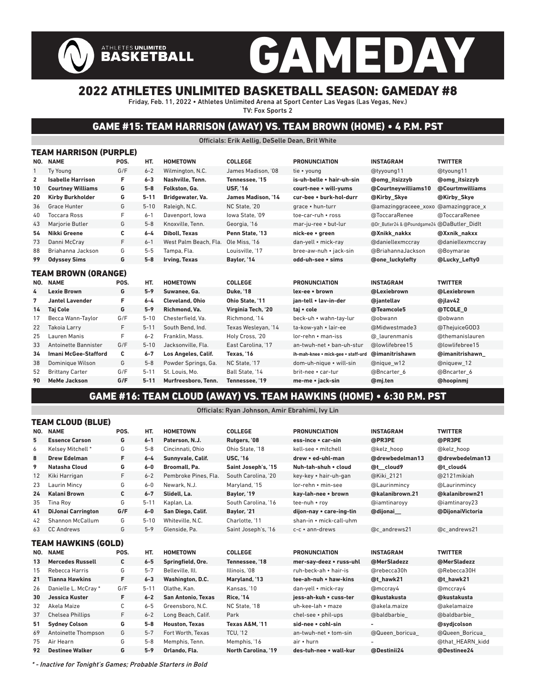# GAMEDAY ATHLETES UNLIMITED<br>BASKETBALL 2022 ATHLETES UNLIMITED BASKETBALL SEASON: GAMEDAY #8

### Friday, Feb. 11, 2022 • Athletes Unlimited Arena at Sport Center Las Vegas (Las Vegas, Nev.)

TV: Fox Sports 2

### GAME #15: TEAM HARRISON (AWAY) VS. TEAM BROWN (HOME) • 4 P.M. PST

#### Officials: Erik Aellig, DeSelle Dean, Brit White

|              | TEAM HARRISON (PURPLE)      |      |          |                       |                           |                                    |                                             |                  |  |  |  |  |
|--------------|-----------------------------|------|----------|-----------------------|---------------------------|------------------------------------|---------------------------------------------|------------------|--|--|--|--|
|              | NO. NAME                    | POS. | HT.      | <b>HOMETOWN</b>       | <b>COLLEGE</b>            | <b>PRONUNCIATION</b>               | <b>INSTAGRAM</b>                            | <b>TWITTER</b>   |  |  |  |  |
| 1            | <b>Ty Young</b>             | G/F  | $6 - 2$  | Wilmington, N.C.      | James Madison. '08        | tie • young                        | @tyyoung11                                  | @tyoung11        |  |  |  |  |
| $\mathbf{2}$ | <b>Isabelle Harrison</b>    | F    | $6 - 3$  | Nashville, Tenn.      | Tennessee. '15            | is-uh-belle • hair-uh-sin          | @omg_itsizzyb                               | @omg_itsizzyb    |  |  |  |  |
| 10           | <b>Courtney Williams</b>    | G    | $5-8$    | Folkston. Ga.         | <b>USF, '16</b>           | court-nee • will-yums              | @Courtneywilliams10                         | @Courtmwilliams  |  |  |  |  |
| 20           | <b>Kirby Burkholder</b>     | G    | $5 - 11$ | Bridgewater, Va.      | <b>James Madison. '14</b> | cur-bee • burk-hol-durr            | @Kirby Skye                                 | @Kirby Skye      |  |  |  |  |
| 36           | <b>Grace Hunter</b>         | G    | $5 - 10$ | Raleigh, N.C.         | NC State, '20             | grace . hun-turr                   | @amazinggraceee_xoxo                        | @amazinggrace_x  |  |  |  |  |
| 40           | <b>Toccara Ross</b>         | F    | $6 - 1$  | Davenport, Iowa       | lowa State. '09           | toe-car-ruh • ross                 | @ToccaraRenee                               | @ToccaraRenee    |  |  |  |  |
| 43           | Mariorie Butler             | G    | $5 - 8$  | Knoxville, Tenn.      | Georgia. '16              | mar-iu-ree • but-lur               | @Dr Butler24 & @Poundgame24 @DaButler Didlt |                  |  |  |  |  |
| 54           | Nikki Greene                | С    | $6 - 4$  | <b>Diboll, Texas</b>  | Penn State. '13           | nick-ee • green                    | @Xnikk nakkx                                | @Xxnik nakxx     |  |  |  |  |
| 73           | Danni McCrav                | F    | $6 - 1$  | West Palm Beach, Fla. | Ole Miss. '16             | dan-yell • mick-ray                | @daniellexmccray                            | @daniellexmccray |  |  |  |  |
| 88           | Briahanna Jackson           | G    | $5 - 5$  | Tampa, Fla.           | Louisville. '17           | bree-aw-nuh • jack-sin             | @BriahannaJackson                           | @Boymarae        |  |  |  |  |
| 99           | <b>Odyssey Sims</b>         | G    | $5-8$    | Irving, Texas         | Baylor, '14               | odd-uh-see · sims                  | @one luckylefty                             | @Lucky Lefty0    |  |  |  |  |
|              | TEAM BROWN (ORANGE)         |      |          |                       |                           |                                    |                                             |                  |  |  |  |  |
|              | NO. NAME                    | POS. | HT.      | <b>HOMETOWN</b>       | <b>COLLEGE</b>            | <b>PRONUNCIATION</b>               | <b>INSTAGRAM</b>                            | <b>TWITTER</b>   |  |  |  |  |
| 4            | <b>Lexie Brown</b>          | G    | $5 - 9$  | Suwanee, Ga.          | <b>Duke, '18</b>          | lex-ee . brown                     | @Lexiebrown                                 | @Lexiebrown      |  |  |  |  |
| 7            | <b>Jantel Lavender</b>      | F    | $6 - 4$  | Cleveland, Ohio       | Ohio State. '11           | ian-tell . lav-in-der              | @iantellav                                  | @ilav42          |  |  |  |  |
| 14           | <b>Taj Cole</b>             | G    | $5 - 9$  | Richmond, Va.         | Virginia Tech, '20        | taj • cole                         | @Teamcole5                                  | @TCOLE 0         |  |  |  |  |
| 17           | Becca Wann-Taylor           | G/F  | $5 - 10$ | Chesterfield. Va.     | Richmond. '14             | beck-uh • wahn-tay-lur             | @obwann                                     | @obwann          |  |  |  |  |
| 22           | <b>Takoia Larry</b>         | F    | $5 - 11$ | South Bend, Ind.      | Texas Wesleyan, '14       | ta-kow-yah • lair-ee               | @Midwestmade3                               | @ThejuiceGOD3    |  |  |  |  |
| 25           | Lauren Manis                | F    | $6 - 2$  | Franklin, Mass.       | Holy Cross, '20           | lor-rehn • man-iss                 | @ laurenmanis                               | @themanislauren  |  |  |  |  |
| 33           | Antoinette Bannister        | G/F  | $5 - 10$ | Jacksonville. Fla.    | East Carolina. '17        | an-twuh-net . ban-uh-stur          | @lowlifebree15                              | @lowlifebree15   |  |  |  |  |
| 34           | <b>Imani McGee-Stafford</b> | c    | $6 - 7$  | Los Angeles, Calif.   | Texas. '16                | ih-mah-knee • mick-gee • staff-urd | @imanitrishawn                              | @imanitrishawn   |  |  |  |  |
| 38           | Dominique Wilson            | G    | $5 - 8$  | Powder Springs, Ga.   | NC State. '17             | dom-uh-nique • will-sin            | @nique w12                                  | @niquew 12       |  |  |  |  |
| 52           | <b>Brittany Carter</b>      | G/F  | $5 - 11$ | St. Louis, Mo.        | Ball State, '14           | brit-nee • car-tur                 | @Bncarter 6                                 | @Bncarter 6      |  |  |  |  |
| 90           | <b>MeMe Jackson</b>         | G/F  | $5 - 11$ | Murfreesboro, Tenn.   | Tennessee, '19            | me-me • jack-sin                   | @mj.ten                                     | @hoopinmj        |  |  |  |  |

### GAME #16: TEAM CLOUD (AWAY) VS. TEAM HAWKINS (HOME) • 6:30 P.M. PST

#### Officials: Ryan Johnson, Amir Ebrahimi, Ivy Lin

|     | TEAM CLOUD (BLUE)          |      |          |                           |                            |                          |                          |                  |
|-----|----------------------------|------|----------|---------------------------|----------------------------|--------------------------|--------------------------|------------------|
| NO. | <b>NAME</b>                | POS. | HT.      | <b>HOMETOWN</b>           | <b>COLLEGE</b>             | <b>PRONUNCIATION</b>     | <b>INSTAGRAM</b>         | <b>TWITTER</b>   |
| 5   | <b>Essence Carson</b>      | G    | $6 - 1$  | Paterson, N.J.            | Rutgers, '08               | ess-ince • car-sin       | @PR3PE                   | @PR3PE           |
| 6   | Kelsey Mitchell *          | G    | $5 - 8$  | Cincinnati, Ohio          | Ohio State. '18            | kell-see • mitchell      | @kelz hoop               | @kelz hoop       |
| 8   | <b>Drew Edelman</b>        | F.   | $6 - 4$  | Sunnvvale, Calif.         | <b>USC. '16</b>            | drew . ed-uhl-man        | @drewbedelman13          | @drewbedelman13  |
| 9   | Natasha Cloud              | G    | $6-0$    | Broomall, Pa.             | Saint Joseph's, '15        | Nuh-tah-shuh • cloud     | @t cloud9                | @t cloud4        |
| 12  | Kiki Harrigan              | F    | $6 - 2$  | Pembroke Pines, Fla.      | South Carolina. '20        | key-key • hair-uh-gan    | @Kiki 2121               | @2121 mikiah     |
| 23  | Laurin Mincy               | G    | $6-0$    | Newark, N.J.              | Maryland, '15              | lor-rehn • min-see       | @Laurinmincy             | @Laurinmincy     |
| 24  | <b>Kalani Brown</b>        | C    | $6 - 7$  | Slidell, La.              | Baylor, '19                | kay-lah-nee • brown      | @kalanibrown.21          | @kalanibrown21   |
| 35  | Tina Roy                   | G    | $5 - 11$ | Kaplan, La.               | South Carolina. '16        | tee-nuh • roy            | @iamtinaroyy             | @iamtinaroy23    |
| 41  | <b>DiJonai Carrington</b>  | G/F  | $6-0$    | San Diego, Calif.         | Bavlor. '21                | dijon-nay • care-ing-tin | @dijonai                 | @DijonaiVictoria |
| 42  | Shannon McCallum           | G    | $5 - 10$ | Whiteville, N.C.          | Charlotte. '11             | shan-in • mick-call-uhm  |                          |                  |
| 63  | <b>CC Andrews</b>          | G    | $5 - 9$  | Glenside. Pa.             | Saint Joseph's, '16        | $c-c \cdot$ ann-drews    | @c andrews21             | @c andrews21     |
|     | <b>TEAM HAWKINS (GOLD)</b> |      |          |                           |                            |                          |                          |                  |
|     | NO. NAME                   | POS. | HT.      | <b>HOMETOWN</b>           | <b>COLLEGE</b>             | <b>PRONUNCIATION</b>     | <b>INSTAGRAM</b>         | <b>TWITTER</b>   |
| 13  | <b>Mercedes Russell</b>    | C    | $6 - 5$  | Springfield, Ore.         | Tennessee. '18             | mer-say-deez • russ-uhl  | @MerSladezz              | @MerSladezz      |
| 15  | Rebecca Harris             | G    | $5 - 7$  | Belleville, Ill.          | Illinois. '08              | ruh-beck-ah • hair-is    | @rebecca30h              | @Rebecca30H      |
| 21  | <b>Tianna Hawkins</b>      | F.   | $6 - 3$  | Washington, D.C.          | Maryland, '13              | tee-ah-nuh • haw-kins    | @t hawk21                | @t hawk21        |
| 26  | Danielle L. McCray*        | G/F  | $5 - 11$ | Olathe, Kan.              | Kansas. '10                | dan-yell • mick-ray      | @mccray4                 | @mccray4         |
| 30  | <b>Jessica Kuster</b>      | F.   | $6 - 2$  | <b>San Antonio, Texas</b> | <b>Rice. '14</b>           | iess-ah-kuh • cuss-ter   | @kustakusta              | @kustakusta      |
| 32  | Akela Maize                | С    | $6 - 5$  | Greensboro, N.C.          | NC State, '18              | uh-kee-lah • maze        | @akela.maize             | @akelamaize      |
| 37  | <b>Chelsea Phillips</b>    | F    | $6 - 2$  | Long Beach, Calif.        | Park                       | chel-see • phil-ups      | @baldbarbie              | @baldbarbie      |
| 51  | <b>Sydney Colson</b>       | G    | $5-8$    | <b>Houston, Texas</b>     | <b>Texas A&amp;M. '11</b>  | sid-nee • cohl-sin       | $\overline{\phantom{0}}$ | @sydjcolson      |
| 69  | Antoinette Thompson        | G    | $5 - 7$  | Fort Worth, Texas         | <b>TCU. '12</b>            | an-twuh-net • tom-sin    | @Queen boricua           | @Queen Boricua   |
| 75  | Air Hearn                  | G    | $5 - 8$  | Memphis, Tenn.            | Memphis, '16               | air • hurn               |                          | @that HEARN kidd |
| 92  | <b>Destinee Walker</b>     | G    | $5-9$    | Orlando, Fla.             | <b>North Carolina, '19</b> | des-tuh-nee • wall-kur   | @Destinii24              | @Destinee24      |
|     |                            |      |          |                           |                            |                          |                          |                  |

\* - Inactive for Tonight's Games; Probable Starters in Bold

 $T = T \cdot T$